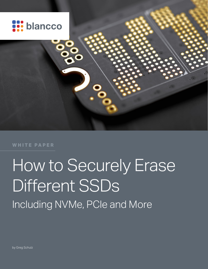

**WHITE PAPER**

# How to Securely Erase Different SSDs Including NVMe, PCIe and More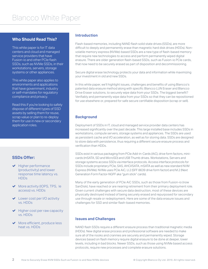# **Who Should Read This?**

This white paper is for IT data centers and cloud and managed service providers that have Fusion-io and other PCIe flash SSDs, such as NVMe SSDs, in their workstations, servers, storage systems or other appliances.

This white paper also applies to environments and applications that have government, industry or self-mandates for regulatory compliance and privacy.

Read this if you're looking to safely dispose of different types of SSD assets by selling them for reuse, scrap value or plan to re-deploy them for use in new or secondary application roles.

# **SSDs Offer:**

- $\blacktriangleright$  Higher performance (productivity) and lower response time latency vs. HDDs
- $\blacktriangleright$  More activity (IOPS, TPS, le access) vs. HDDs
- ◆ Lower cost per I/O activity vs. HDDs
- $\blacktriangleright$  Higher cost per raw capacity vs. HDDs
- $\blacktriangleright$  More efficient, produce less heat vs. HDDs

#### **Introduction**

Flash-based memories, including NAND flash solid state drives (SSDs), are more difficult to deeply and permanently erase than magnetic hard disk drives (HDDs). Nonvolatile memory express (NVMe)-based SSDs are a new type of flash-based memory that require new technologies to access and perform permanently wiped digital erasure. There are older generation flash-based SSDs, such as Fusion-io PCIe cards, that now need to be securely erased as part of disposition and decommissioning.

Secure digital erase technology protects your data and information while maximizing your investment in old and new SSDs.

In this white paper, we'll highlight issues, challenges and benefits of using Blancco's patented data erasure method along with specific Blancco LUN Eraser and Blancco Drive Eraser solutions, to securely wipe data from your SSDs. The biggest benefit? Verifiably and permanently wipe data from your SSDs so that they can be repositioned for use elsewhere or, prepared for safe secure certifiable disposition (scrap or sell).

# **Background**

Deployment of SSDs in IT, cloud and managed service provider data centers has increased significantly over the past decade. This large installed base includes SSDs in workstations, compute servers, storage systems and appliances. The SSDs are used as persistent cache and I/O acceleration, as well as for storing data. SSDs are designed to store data with persistence, thus requiring a different secure erasure process and verification than HDDs.

SSDs exist in various packaging from PCIe Add-in-Cards (AiC), drive form factors, minicards (mSATA, SD and MicroSD) and USB Thumb drives. Workstations, Servers and storage systems access SSDs via interface protocols. Access interface protocols for SSDs include proprietary PCIe, SAS, AHCI/SATA, mSATA as well as new standard NVM Express (NVMe). NVMe uses PCIe AiC, U.2 (SFF 8639 drive form factor) and M.2 (Next Generation Form Factor-NGFF aka "gum stick" cards).

Many of the early generation of PCIe AiC SSDs, such as those from Fusion-io (now SanDisk), have reached or are nearing retirement from their primary deployment role. Given current challenges with secure data destruction, most of these devices are physically destroyed instead of being securely erased and repurposed for secondary use through resale or redeployment. Here are some of the data erasure issues and challenges for SSD and similar flash-based memories.

## **Issues and Challenges**

NAND flash SSDs require a different erasure process than traditional magnetic media (HDDs). New digital erase process and professional software are needed to make sure all of the nooks and crannies are securely and permanently wiped. Storage devices based on flash memory require digital erasure to be done at deeper, lower levels, including in bad blocks. Newer SSDs, such as those using NVMe based access protocols, require new processes and complete erasure solutions.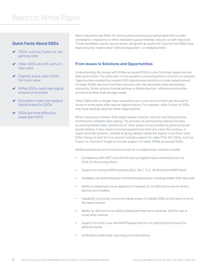# Blancco White Paper

# **Quick Facts About SSDs**

- SSDs, such as Fusion-io, are getting older
- ◆ Older SSDs are still useful in new roles
- ◆ Digitally erase older SSDs for more value
- ◆ NVMe SSDs need new digital erasure processes
- ◆ Encryption does not replace digital erase for SSDs
- SSDs are more difficult to erase than HDDs

Many industries use SSDs for storing and processing sensitive data that is under compliance, regulatory or other mandates (governmental, industry or self-imposed). These mandates require secure erase, along with an audit trail, to prove the SSDs have been securely "wiped clean" before disposition – or redeployment.

## **From Issues to Solutions and Opportunities**

Understanding the issues with NVMe accessed SSDs is your first step toward secure data destruction. The other part of the equation is knowing what to look for in a solution. Opportunities enabled by modern SSD digital erase solutions include redeployment of newer NVMe devices from their previous role into secondary less demanding scenarios. Some options include backup or data protection, reference and activearchive and other bulk storage needs.

Other SSDs that no longer have a practical use in your environment can be sold for reuse or scrap value after secure digital erasure. For example, older Fusion-io SSDs may have residual value for other organizations.

When choosing a modern SSD digital eraser solution, look for one that performs verified and complete data wiping. The process of permanently wiping includes accessing hidden data, bad blocks or other areas not accessible by general serverbased utilities. It also means moving beyond tools that only clean the surface, or upper-level file systems, instead of going deeper below the logical or partition level. Other things to look for in a solution include support for older PCIe AiC SSDs, such as Fusion-io. And don't forget to include support of newer NVMe accessed SSDs.

Additional features and functions to look for in a data eraser solution include:

- Compliance with NIST and US DoD secure digital erasure standard such as 5220.22-M, among others
- Support for various NVM mediums (SLC, MLC, TLC, 3D &Vertical NAND flash)
- Available Low-level hardware command based erase, including hidden SSD data cells
- Ability to implement via an appliance if needed, or run directly on server where devices are installed
- Capability to provide concurrent deep erase of multiple SSDs at the same time on the same system
- Ability for devices to be safely redeployed internal or external, sold for use or scrap after erasure
- Support for both Linux and WinPEbased boot to run optimized processes for different needs
- Verification audit trails, reporting and notifications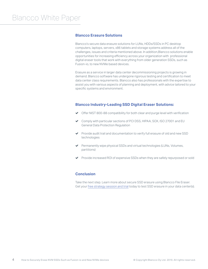#### **Blancco Erasure Solutions**

Blancco's secure data erasure solutions for LUNs, HDDs/SSDs in PC desktop computers, laptops, servers, x86 tablets and storage systems address all of the challenges, issues and criteria mentioned above. In addition,Blancco solutions enable opportunities for increasing efficiency across your organization with professional digital eraser tools that work with everything from older generation SSDs, such as Fusion-io, to new NVMe based devices.

Erasure as a service in larger data center decommissioning projects is growing in demand. Blancco software has undergone rigorous testing and certification to meet data center class requirements. Blancco also has professionals with the expertise to assist you with various aspects of planning and deployment, with advice tailored to your specific systems and environment.

#### **Blancco Industry-Leading SSD Digital Eraser Solutions:**

- Offer NIST 800-88 compatibility for both clear and purge level with verification
- Comply with particular sections of PCI DSS, HIPAA, SOX, ISO 27001 and EU General Data Protection Regulation
- $\blacktriangleright$  Provide audit trail and documentation to verify full erasure of old and new SSD technologies
- Permanently wipe physical SSDs and virtual technologies (LUNs, Volumes, partitions)
- Provide increased ROI of expensive SSDs when they are safely repurposed or sold

# **Conclusion**

Take the next step. Learn more about secure SSD erasure using Blancco File Eraser. Get your [free strategy session and trial](http://https//www.blancco.com/demo/free-trial-request-data-center/?utm_source=integrate&utm_medium=banner&utm_content=ks-pdf&utm_campaign=ent-dc) today to test SSD erasure in your data center(s).